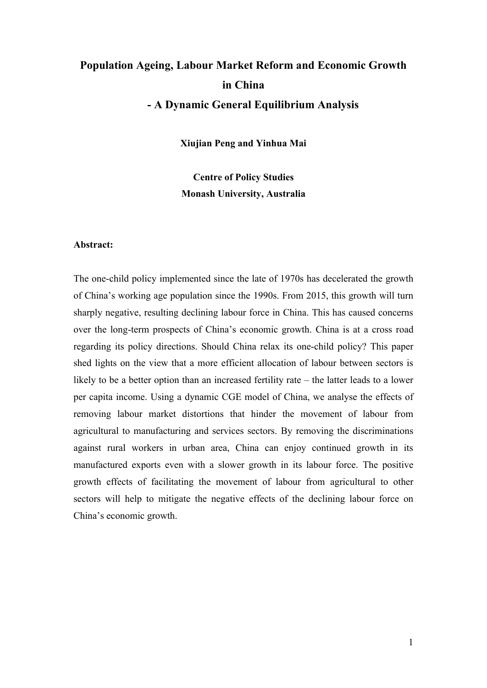# **Population Ageing, Labour Market Reform and Economic Growth in China - A Dynamic General Equilibrium Analysis**

**Xiujian Peng and Yinhua Mai**

**Centre of Policy Studies Monash University, Australia** 

### **Abstract:**

The one-child policy implemented since the late of 1970s has decelerated the growth of China's working age population since the 1990s. From 2015, this growth will turn sharply negative, resulting declining labour force in China. This has caused concerns over the long-term prospects of China's economic growth. China is at a cross road regarding its policy directions. Should China relax its one-child policy? This paper shed lights on the view that a more efficient allocation of labour between sectors is likely to be a better option than an increased fertility rate – the latter leads to a lower per capita income. Using a dynamic CGE model of China, we analyse the effects of removing labour market distortions that hinder the movement of labour from agricultural to manufacturing and services sectors. By removing the discriminations against rural workers in urban area, China can enjoy continued growth in its manufactured exports even with a slower growth in its labour force. The positive growth effects of facilitating the movement of labour from agricultural to other sectors will help to mitigate the negative effects of the declining labour force on China's economic growth.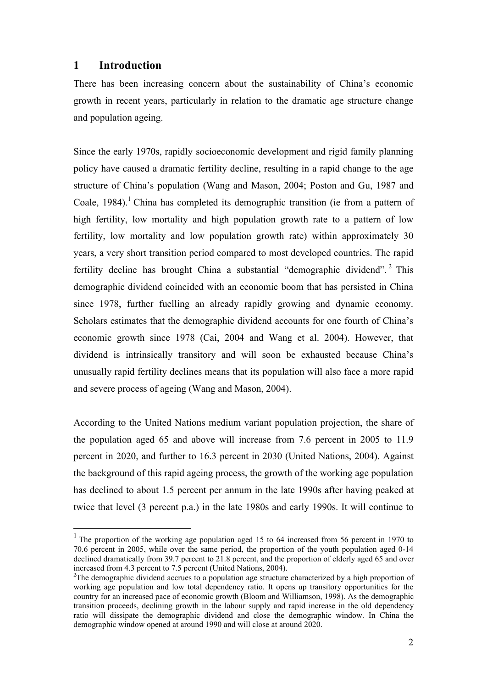## **1 Introduction**

 $\overline{a}$ 

There has been increasing concern about the sustainability of China's economic growth in recent years, particularly in relation to the dramatic age structure change and population ageing.

Since the early 1970s, rapidly socioeconomic development and rigid family planning policy have caused a dramatic fertility decline, resulting in a rapid change to the age structure of China's population (Wang and Mason, 2004; Poston and Gu, 1987 and Coale, 1984).<sup>1</sup> China has completed its demographic transition (ie from a pattern of high fertility, low mortality and high population growth rate to a pattern of low fertility, low mortality and low population growth rate) within approximately 30 years, a very short transition period compared to most developed countries. The rapid fertility decline has brought China a substantial "demographic dividend".<sup>2</sup> This demographic dividend coincided with an economic boom that has persisted in China since 1978, further fuelling an already rapidly growing and dynamic economy. Scholars estimates that the demographic dividend accounts for one fourth of China's economic growth since 1978 (Cai, 2004 and Wang et al. 2004). However, that dividend is intrinsically transitory and will soon be exhausted because China's unusually rapid fertility declines means that its population will also face a more rapid and severe process of ageing (Wang and Mason, 2004).

According to the United Nations medium variant population projection, the share of the population aged 65 and above will increase from 7.6 percent in 2005 to 11.9 percent in 2020, and further to 16.3 percent in 2030 (United Nations, 2004). Against the background of this rapid ageing process, the growth of the working age population has declined to about 1.5 percent per annum in the late 1990s after having peaked at twice that level (3 percent p.a.) in the late 1980s and early 1990s. It will continue to

<sup>&</sup>lt;sup>1</sup> The proportion of the working age population aged 15 to 64 increased from 56 percent in 1970 to 70.6 percent in 2005, while over the same period, the proportion of the youth population aged 0-14 declined dramatically from 39.7 percent to 21.8 percent, and the proportion of elderly aged 65 and over increased from 4.3 percent to 7.5 percent (United Nations, 2004).

<sup>&</sup>lt;sup>2</sup>The demographic dividend accrues to a population age structure characterized by a high proportion of working age population and low total dependency ratio. It opens up transitory opportunities for the country for an increased pace of economic growth (Bloom and Williamson, 1998). As the demographic transition proceeds, declining growth in the labour supply and rapid increase in the old dependency ratio will dissipate the demographic dividend and close the demographic window. In China the demographic window opened at around 1990 and will close at around 2020.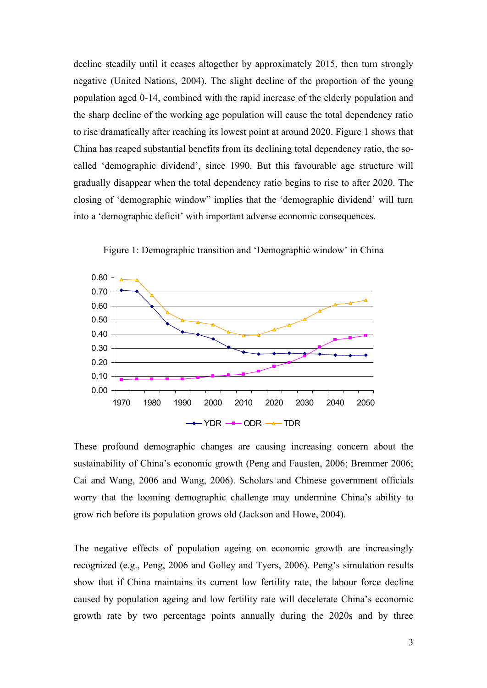decline steadily until it ceases altogether by approximately 2015, then turn strongly negative (United Nations, 2004). The slight decline of the proportion of the young population aged 0-14, combined with the rapid increase of the elderly population and the sharp decline of the working age population will cause the total dependency ratio to rise dramatically after reaching its lowest point at around 2020. Figure 1 shows that China has reaped substantial benefits from its declining total dependency ratio, the socalled 'demographic dividend', since 1990. But this favourable age structure will gradually disappear when the total dependency ratio begins to rise to after 2020. The closing of 'demographic window" implies that the 'demographic dividend' will turn into a 'demographic deficit' with important adverse economic consequences.



Figure 1: Demographic transition and 'Demographic window' in China

These profound demographic changes are causing increasing concern about the sustainability of China's economic growth (Peng and Fausten, 2006; Bremmer 2006; Cai and Wang, 2006 and Wang, 2006). Scholars and Chinese government officials worry that the looming demographic challenge may undermine China's ability to grow rich before its population grows old (Jackson and Howe, 2004).

The negative effects of population ageing on economic growth are increasingly recognized (e.g., Peng, 2006 and Golley and Tyers, 2006). Peng's simulation results show that if China maintains its current low fertility rate, the labour force decline caused by population ageing and low fertility rate will decelerate China's economic growth rate by two percentage points annually during the 2020s and by three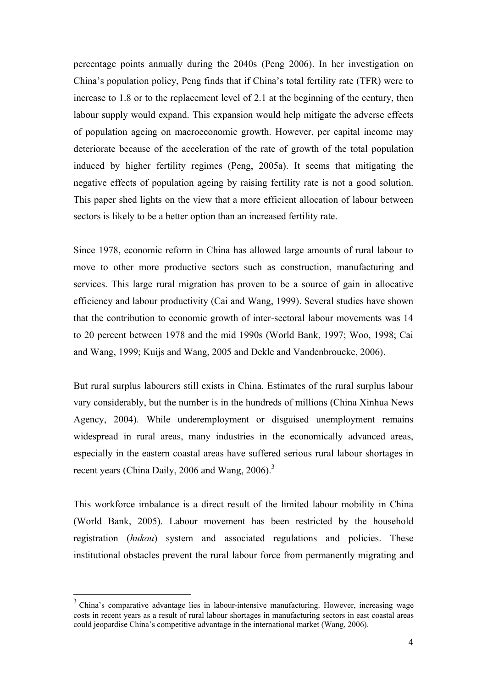percentage points annually during the 2040s (Peng 2006). In her investigation on China's population policy, Peng finds that if China's total fertility rate (TFR) were to increase to 1.8 or to the replacement level of 2.1 at the beginning of the century, then labour supply would expand. This expansion would help mitigate the adverse effects of population ageing on macroeconomic growth. However, per capital income may deteriorate because of the acceleration of the rate of growth of the total population induced by higher fertility regimes (Peng, 2005a). It seems that mitigating the negative effects of population ageing by raising fertility rate is not a good solution. This paper shed lights on the view that a more efficient allocation of labour between sectors is likely to be a better option than an increased fertility rate.

Since 1978, economic reform in China has allowed large amounts of rural labour to move to other more productive sectors such as construction, manufacturing and services. This large rural migration has proven to be a source of gain in allocative efficiency and labour productivity (Cai and Wang, 1999). Several studies have shown that the contribution to economic growth of inter-sectoral labour movements was 14 to 20 percent between 1978 and the mid 1990s (World Bank, 1997; Woo, 1998; Cai and Wang, 1999; Kuijs and Wang, 2005 and Dekle and Vandenbroucke, 2006).

But rural surplus labourers still exists in China. Estimates of the rural surplus labour vary considerably, but the number is in the hundreds of millions (China Xinhua News Agency, 2004). While underemployment or disguised unemployment remains widespread in rural areas, many industries in the economically advanced areas, especially in the eastern coastal areas have suffered serious rural labour shortages in recent years (China Daily, 2006 and Wang, 2006).<sup>3</sup>

This workforce imbalance is a direct result of the limited labour mobility in China (World Bank, 2005). Labour movement has been restricted by the household registration (*hukou*) system and associated regulations and policies. These institutional obstacles prevent the rural labour force from permanently migrating and

 $\overline{a}$ 

<sup>&</sup>lt;sup>3</sup> China's comparative advantage lies in labour-intensive manufacturing. However, increasing wage costs in recent years as a result of rural labour shortages in manufacturing sectors in east coastal areas could jeopardise China's competitive advantage in the international market (Wang, 2006).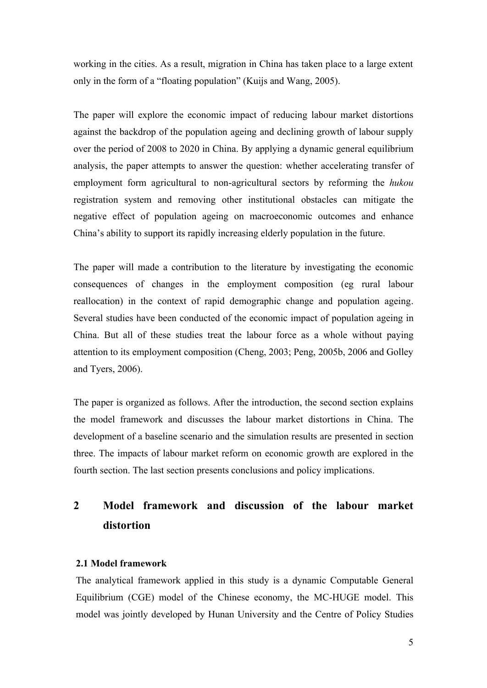working in the cities. As a result, migration in China has taken place to a large extent only in the form of a "floating population" (Kuijs and Wang, 2005).

The paper will explore the economic impact of reducing labour market distortions against the backdrop of the population ageing and declining growth of labour supply over the period of 2008 to 2020 in China. By applying a dynamic general equilibrium analysis, the paper attempts to answer the question: whether accelerating transfer of employment form agricultural to non-agricultural sectors by reforming the *hukou* registration system and removing other institutional obstacles can mitigate the negative effect of population ageing on macroeconomic outcomes and enhance China's ability to support its rapidly increasing elderly population in the future.

The paper will made a contribution to the literature by investigating the economic consequences of changes in the employment composition (eg rural labour reallocation) in the context of rapid demographic change and population ageing. Several studies have been conducted of the economic impact of population ageing in China. But all of these studies treat the labour force as a whole without paying attention to its employment composition (Cheng, 2003; Peng, 2005b, 2006 and Golley and Tyers, 2006).

The paper is organized as follows. After the introduction, the second section explains the model framework and discusses the labour market distortions in China. The development of a baseline scenario and the simulation results are presented in section three. The impacts of labour market reform on economic growth are explored in the fourth section. The last section presents conclusions and policy implications.

## **2 Model framework and discussion of the labour market distortion**

### **2.1 Model framework**

The analytical framework applied in this study is a dynamic Computable General Equilibrium (CGE) model of the Chinese economy, the MC-HUGE model. This model was jointly developed by Hunan University and the Centre of Policy Studies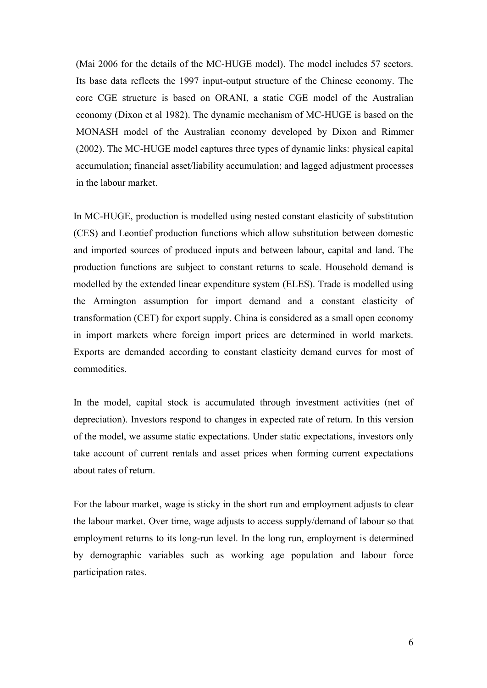(Mai 2006 for the details of the MC-HUGE model). The model includes 57 sectors. Its base data reflects the 1997 input-output structure of the Chinese economy. The core CGE structure is based on ORANI, a static CGE model of the Australian economy (Dixon et al 1982). The dynamic mechanism of MC-HUGE is based on the MONASH model of the Australian economy developed by Dixon and Rimmer (2002). The MC-HUGE model captures three types of dynamic links: physical capital accumulation; financial asset/liability accumulation; and lagged adjustment processes in the labour market.

In MC-HUGE, production is modelled using nested constant elasticity of substitution (CES) and Leontief production functions which allow substitution between domestic and imported sources of produced inputs and between labour, capital and land. The production functions are subject to constant returns to scale. Household demand is modelled by the extended linear expenditure system (ELES). Trade is modelled using the Armington assumption for import demand and a constant elasticity of transformation (CET) for export supply. China is considered as a small open economy in import markets where foreign import prices are determined in world markets. Exports are demanded according to constant elasticity demand curves for most of commodities.

In the model, capital stock is accumulated through investment activities (net of depreciation). Investors respond to changes in expected rate of return. In this version of the model, we assume static expectations. Under static expectations, investors only take account of current rentals and asset prices when forming current expectations about rates of return.

For the labour market, wage is sticky in the short run and employment adjusts to clear the labour market. Over time, wage adjusts to access supply/demand of labour so that employment returns to its long-run level. In the long run, employment is determined by demographic variables such as working age population and labour force participation rates.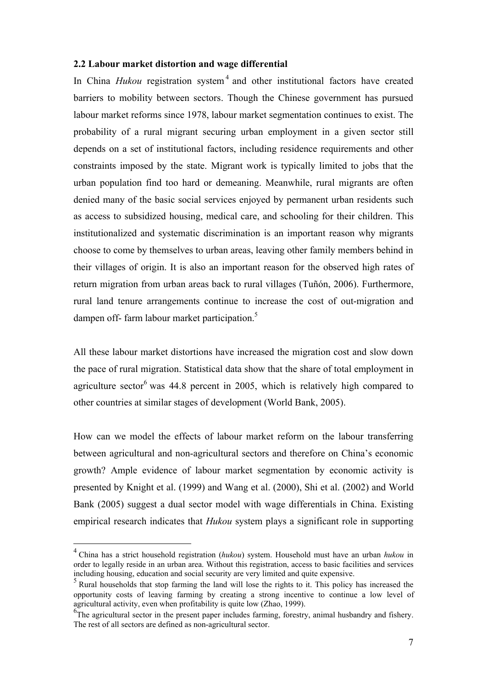#### **2.2 Labour market distortion and wage differential**

In China *Hukou* registration system<sup>4</sup> and other institutional factors have created barriers to mobility between sectors. Though the Chinese government has pursued labour market reforms since 1978, labour market segmentation continues to exist. The probability of a rural migrant securing urban employment in a given sector still depends on a set of institutional factors, including residence requirements and other constraints imposed by the state. Migrant work is typically limited to jobs that the urban population find too hard or demeaning. Meanwhile, rural migrants are often denied many of the basic social services enjoyed by permanent urban residents such as access to subsidized housing, medical care, and schooling for their children. This institutionalized and systematic discrimination is an important reason why migrants choose to come by themselves to urban areas, leaving other family members behind in their villages of origin. It is also an important reason for the observed high rates of return migration from urban areas back to rural villages (Tuñón, 2006). Furthermore, rural land tenure arrangements continue to increase the cost of out-migration and dampen off- farm labour market participation.<sup>5</sup>

All these labour market distortions have increased the migration cost and slow down the pace of rural migration. Statistical data show that the share of total employment in agriculture sector<sup>6</sup> was 44.8 percent in 2005, which is relatively high compared to other countries at similar stages of development (World Bank, 2005).

How can we model the effects of labour market reform on the labour transferring between agricultural and non-agricultural sectors and therefore on China's economic growth? Ample evidence of labour market segmentation by economic activity is presented by Knight et al. (1999) and Wang et al. (2000), Shi et al. (2002) and World Bank (2005) suggest a dual sector model with wage differentials in China. Existing empirical research indicates that *Hukou* system plays a significant role in supporting

 $\overline{a}$ 

<sup>4</sup> China has a strict household registration (*hukou*) system. Household must have an urban *hukou* in order to legally reside in an urban area. Without this registration, access to basic facilities and services including housing, education and social security are very limited and quite expensive.

<sup>&</sup>lt;sup>5</sup> Rural households that stop farming the land will lose the rights to it. This policy has increased the opportunity costs of leaving farming by creating a strong incentive to continue a low level of agricultural activity, even when profitability is quite low (Zhao, 1999).

<sup>&</sup>lt;sup>6</sup>The agricultural sector in the present paper includes farming, forestry, animal husbandry and fishery. The rest of all sectors are defined as non-agricultural sector.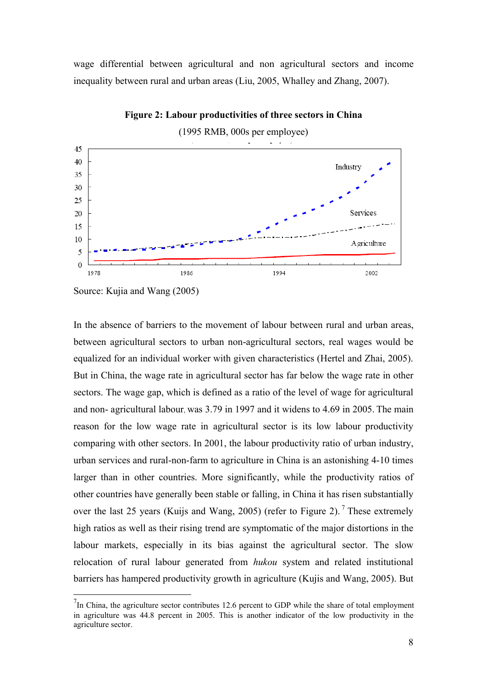wage differential between agricultural and non agricultural sectors and income inequality between rural and urban areas (Liu, 2005, Whalley and Zhang, 2007).



**Figure 2: Labour productivities of three sectors in China**

Source: Kujia and Wang (2005)

 $\overline{a}$ 

In the absence of barriers to the movement of labour between rural and urban areas, between agricultural sectors to urban non-agricultural sectors, real wages would be equalized for an individual worker with given characteristics (Hertel and Zhai, 2005). But in China, the wage rate in agricultural sector has far below the wage rate in other sectors. The wage gap, which is defined as a ratio of the level of wage for agricultural and non- agricultural labour, was 3.79 in 1997 and it widens to 4.69 in 2005. The main reason for the low wage rate in agricultural sector is its low labour productivity comparing with other sectors. In 2001, the labour productivity ratio of urban industry, urban services and rural-non-farm to agriculture in China is an astonishing 4-10 times larger than in other countries. More significantly, while the productivity ratios of other countries have generally been stable or falling, in China it has risen substantially over the last 25 years (Kuijs and Wang, 2005) (refer to Figure 2).<sup>7</sup> These extremely high ratios as well as their rising trend are symptomatic of the major distortions in the labour markets, especially in its bias against the agricultural sector. The slow relocation of rural labour generated from *hukou* system and related institutional barriers has hampered productivity growth in agriculture (Kujis and Wang, 2005). But

 $<sup>7</sup>$ In China, the agriculture sector contributes 12.6 percent to GDP while the share of total employment</sup> in agriculture was 44.8 percent in 2005. This is another indicator of the low productivity in the agriculture sector.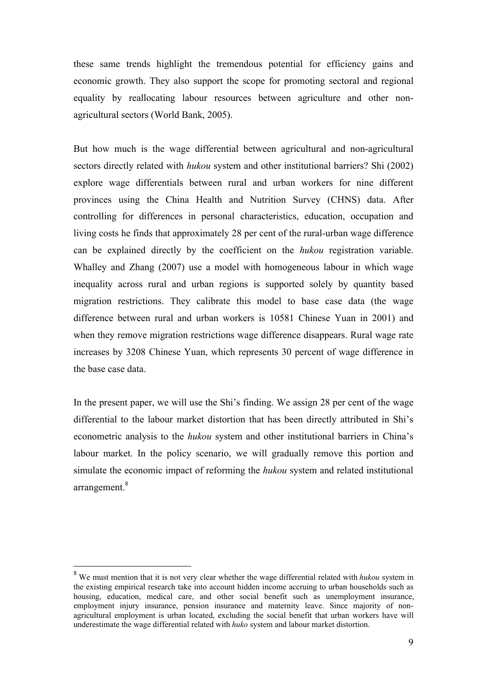these same trends highlight the tremendous potential for efficiency gains and economic growth. They also support the scope for promoting sectoral and regional equality by reallocating labour resources between agriculture and other nonagricultural sectors (World Bank, 2005).

But how much is the wage differential between agricultural and non-agricultural sectors directly related with *hukou* system and other institutional barriers? Shi (2002) explore wage differentials between rural and urban workers for nine different provinces using the China Health and Nutrition Survey (CHNS) data. After controlling for differences in personal characteristics, education, occupation and living costs he finds that approximately 28 per cent of the rural-urban wage difference can be explained directly by the coefficient on the *hukou* registration variable. Whalley and Zhang (2007) use a model with homogeneous labour in which wage inequality across rural and urban regions is supported solely by quantity based migration restrictions. They calibrate this model to base case data (the wage difference between rural and urban workers is 10581 Chinese Yuan in 2001) and when they remove migration restrictions wage difference disappears. Rural wage rate increases by 3208 Chinese Yuan, which represents 30 percent of wage difference in the base case data.

In the present paper, we will use the Shi's finding. We assign 28 per cent of the wage differential to the labour market distortion that has been directly attributed in Shi's econometric analysis to the *hukou* system and other institutional barriers in China's labour market. In the policy scenario, we will gradually remove this portion and simulate the economic impact of reforming the *hukou* system and related institutional arrangement.<sup>8</sup>

 $\overline{a}$ 

<sup>8</sup> We must mention that it is not very clear whether the wage differential related with *hukou* system in the existing empirical research take into account hidden income accruing to urban households such as housing, education, medical care, and other social benefit such as unemployment insurance, employment injury insurance, pension insurance and maternity leave. Since majority of nonagricultural employment is urban located, excluding the social benefit that urban workers have will underestimate the wage differential related with *huko* system and labour market distortion.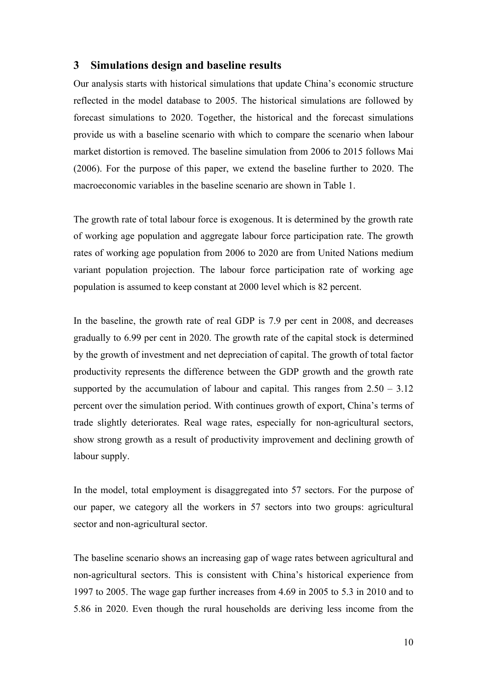## **3 Simulations design and baseline results**

Our analysis starts with historical simulations that update China's economic structure reflected in the model database to 2005. The historical simulations are followed by forecast simulations to 2020. Together, the historical and the forecast simulations provide us with a baseline scenario with which to compare the scenario when labour market distortion is removed. The baseline simulation from 2006 to 2015 follows Mai (2006). For the purpose of this paper, we extend the baseline further to 2020. The macroeconomic variables in the baseline scenario are shown in Table 1.

The growth rate of total labour force is exogenous. It is determined by the growth rate of working age population and aggregate labour force participation rate. The growth rates of working age population from 2006 to 2020 are from United Nations medium variant population projection. The labour force participation rate of working age population is assumed to keep constant at 2000 level which is 82 percent.

In the baseline, the growth rate of real GDP is 7.9 per cent in 2008, and decreases gradually to 6.99 per cent in 2020. The growth rate of the capital stock is determined by the growth of investment and net depreciation of capital. The growth of total factor productivity represents the difference between the GDP growth and the growth rate supported by the accumulation of labour and capital. This ranges from  $2.50 - 3.12$ percent over the simulation period. With continues growth of export, China's terms of trade slightly deteriorates. Real wage rates, especially for non-agricultural sectors, show strong growth as a result of productivity improvement and declining growth of labour supply.

In the model, total employment is disaggregated into 57 sectors. For the purpose of our paper, we category all the workers in 57 sectors into two groups: agricultural sector and non-agricultural sector.

The baseline scenario shows an increasing gap of wage rates between agricultural and non-agricultural sectors. This is consistent with China's historical experience from 1997 to 2005. The wage gap further increases from 4.69 in 2005 to 5.3 in 2010 and to 5.86 in 2020. Even though the rural households are deriving less income from the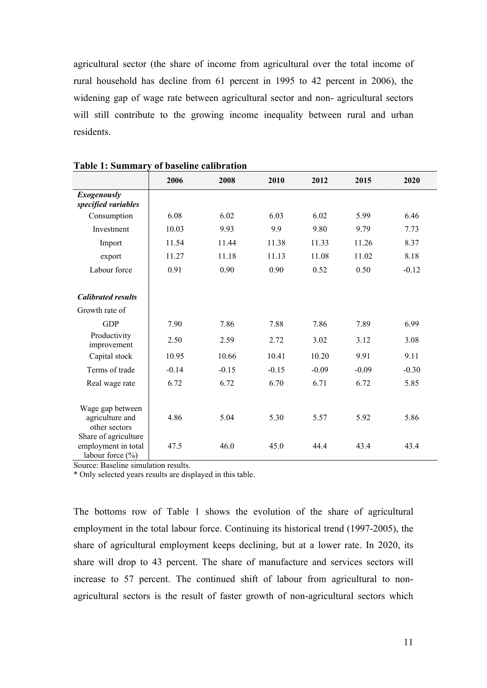agricultural sector (the share of income from agricultural over the total income of rural household has decline from 61 percent in 1995 to 42 percent in 2006), the widening gap of wage rate between agricultural sector and non- agricultural sectors will still contribute to the growing income inequality between rural and urban residents.

|                                                                 | 2006    | 2008    | 2010    | 2012    | 2015    | 2020    |
|-----------------------------------------------------------------|---------|---------|---------|---------|---------|---------|
| <b>Exogenously</b><br>specified variables                       |         |         |         |         |         |         |
| Consumption                                                     | 6.08    | 6.02    | 6.03    | 6.02    | 5.99    | 6.46    |
| Investment                                                      | 10.03   | 9.93    | 9.9     | 9.80    | 9.79    | 7.73    |
| Import                                                          | 11.54   | 11.44   | 11.38   | 11.33   | 11.26   | 8.37    |
| export                                                          | 11.27   | 11.18   | 11.13   | 11.08   | 11.02   | 8.18    |
| Labour force                                                    | 0.91    | 0.90    | 0.90    | 0.52    | 0.50    | $-0.12$ |
|                                                                 |         |         |         |         |         |         |
| <b>Calibrated results</b>                                       |         |         |         |         |         |         |
| Growth rate of                                                  |         |         |         |         |         |         |
| <b>GDP</b>                                                      | 7.90    | 7.86    | 7.88    | 7.86    | 7.89    | 6.99    |
| Productivity<br>improvement                                     | 2.50    | 2.59    | 2.72    | 3.02    | 3.12    | 3.08    |
| Capital stock                                                   | 10.95   | 10.66   | 10.41   | 10.20   | 9.91    | 9.11    |
| Terms of trade                                                  | $-0.14$ | $-0.15$ | $-0.15$ | $-0.09$ | $-0.09$ | $-0.30$ |
| Real wage rate                                                  | 6.72    | 6.72    | 6.70    | 6.71    | 6.72    | 5.85    |
|                                                                 |         |         |         |         |         |         |
| Wage gap between<br>agriculture and<br>other sectors            | 4.86    | 5.04    | 5.30    | 5.57    | 5.92    | 5.86    |
| Share of agriculture<br>employment in total<br>labour force (%) | 47.5    | 46.0    | 45.0    | 44.4    | 43.4    | 43.4    |

#### **Table 1: Summary of baseline calibration**

Source: Baseline simulation results.

\* Only selected years results are displayed in this table.

The bottoms row of Table 1 shows the evolution of the share of agricultural employment in the total labour force. Continuing its historical trend (1997-2005), the share of agricultural employment keeps declining, but at a lower rate. In 2020, its share will drop to 43 percent. The share of manufacture and services sectors will increase to 57 percent. The continued shift of labour from agricultural to nonagricultural sectors is the result of faster growth of non-agricultural sectors which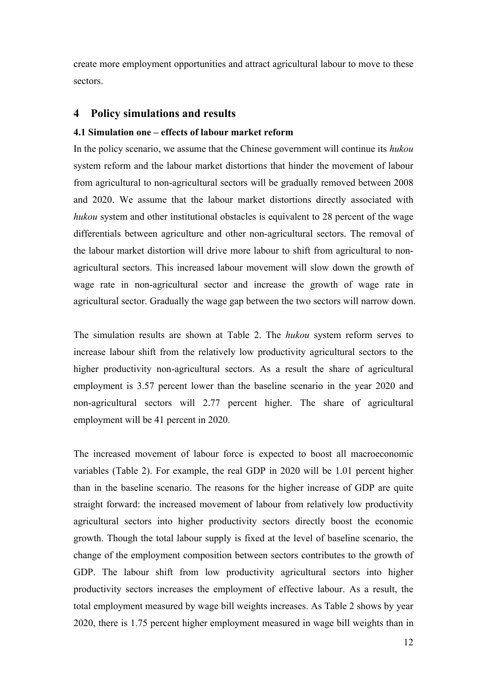create more employment opportunities and attract agricultural labour to move to these sectors.

## **4 Policy simulations and results**

## **4.1 Simulation one – effects of labour market reform**

In the policy scenario, we assume that the Chinese government will continue its *hukou*  system reform and the labour market distortions that hinder the movement of labour from agricultural to non-agricultural sectors will be gradually removed between 2008 and 2020. We assume that the labour market distortions directly associated with *hukou* system and other institutional obstacles is equivalent to 28 percent of the wage differentials between agriculture and other non-agricultural sectors. The removal of the labour market distortion will drive more labour to shift from agricultural to nonagricultural sectors. This increased labour movement will slow down the growth of wage rate in non-agricultural sector and increase the growth of wage rate in agricultural sector. Gradually the wage gap between the two sectors will narrow down.

The simulation results are shown at Table 2. The *hukou* system reform serves to increase labour shift from the relatively low productivity agricultural sectors to the higher productivity non-agricultural sectors. As a result the share of agricultural employment is 3.57 percent lower than the baseline scenario in the year 2020 and non-agricultural sectors will 2.77 percent higher. The share of agricultural employment will be 41 percent in 2020.

The increased movement of labour force is expected to boost all macroeconomic variables (Table 2). For example, the real GDP in 2020 will be 1.01 percent higher than in the baseline scenario. The reasons for the higher increase of GDP are quite straight forward: the increased movement of labour from relatively low productivity agricultural sectors into higher productivity sectors directly boost the economic growth. Though the total labour supply is fixed at the level of baseline scenario, the change of the employment composition between sectors contributes to the growth of GDP. The labour shift from low productivity agricultural sectors into higher productivity sectors increases the employment of effective labour. As a result, the total employment measured by wage bill weights increases. As Table 2 shows by year 2020, there is 1.75 percent higher employment measured in wage bill weights than in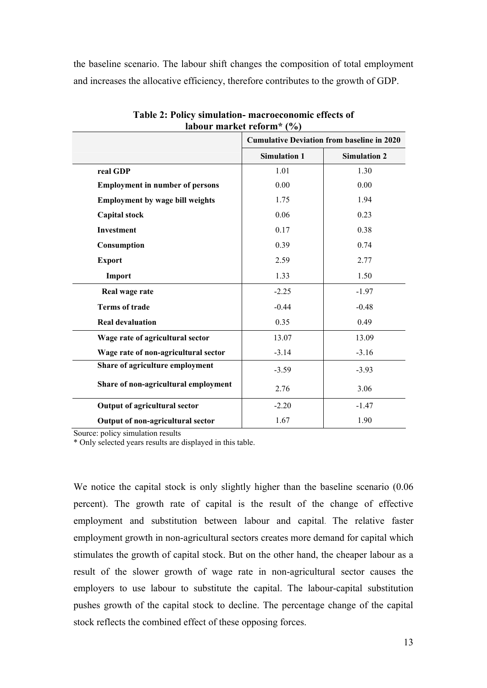the baseline scenario. The labour shift changes the composition of total employment and increases the allocative efficiency, therefore contributes to the growth of GDP.

|                                        | <b>Cumulative Deviation from baseline in 2020</b> |                     |  |
|----------------------------------------|---------------------------------------------------|---------------------|--|
|                                        | <b>Simulation 1</b>                               | <b>Simulation 2</b> |  |
| real GDP                               | 1.01                                              | 1.30                |  |
| <b>Employment in number of persons</b> | 0.00                                              | 0.00                |  |
| <b>Employment by wage bill weights</b> | 1.75                                              | 1.94                |  |
| <b>Capital stock</b>                   | 0.06                                              | 0.23                |  |
| Investment                             | 0.17                                              | 0.38                |  |
| Consumption                            | 0.39                                              | 0.74                |  |
| <b>Export</b>                          | 2.59                                              | 2.77                |  |
| Import                                 | 1.33                                              | 1.50                |  |
| Real wage rate                         | $-2.25$                                           | $-1.97$             |  |
| <b>Terms of trade</b>                  | $-0.44$                                           | $-0.48$             |  |
| <b>Real devaluation</b>                | 0.35                                              | 0.49                |  |
| Wage rate of agricultural sector       | 13.07                                             | 13.09               |  |
| Wage rate of non-agricultural sector   | $-3.14$                                           | $-3.16$             |  |
| Share of agriculture employment        | $-3.59$                                           | $-3.93$             |  |
| Share of non-agricultural employment   | 2.76                                              | 3.06                |  |
| Output of agricultural sector          | $-2.20$                                           | $-1.47$             |  |
| Output of non-agricultural sector      | 1.67                                              | 1.90                |  |

**Table 2: Policy simulation- macroeconomic effects of labour market reform\* (%)**

Source: policy simulation results

\* Only selected years results are displayed in this table.

We notice the capital stock is only slightly higher than the baseline scenario  $(0.06$ percent). The growth rate of capital is the result of the change of effective employment and substitution between labour and capital. The relative faster employment growth in non-agricultural sectors creates more demand for capital which stimulates the growth of capital stock. But on the other hand, the cheaper labour as a result of the slower growth of wage rate in non-agricultural sector causes the employers to use labour to substitute the capital. The labour-capital substitution pushes growth of the capital stock to decline. The percentage change of the capital stock reflects the combined effect of these opposing forces.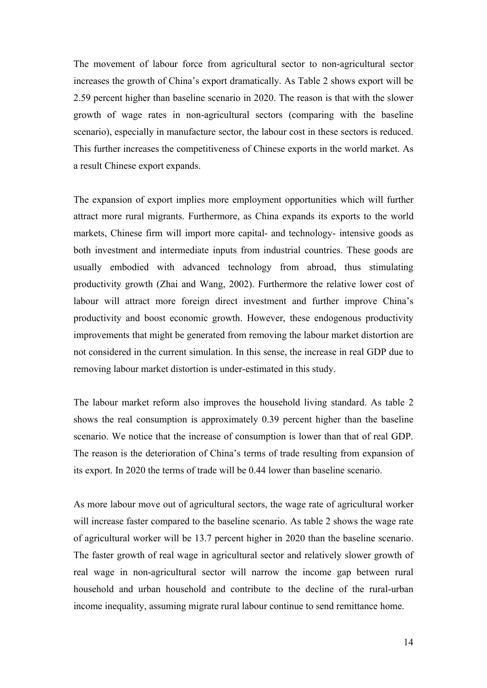The movement of labour force from agricultural sector to non-agricultural sector increases the growth of China's export dramatically. As Table 2 shows export will be 2.59 percent higher than baseline scenario in 2020. The reason is that with the slower growth of wage rates in non-agricultural sectors (comparing with the baseline scenario), especially in manufacture sector, the labour cost in these sectors is reduced. This further increases the competitiveness of Chinese exports in the world market. As a result Chinese export expands.

The expansion of export implies more employment opportunities which will further attract more rural migrants. Furthermore, as China expands its exports to the world markets, Chinese firm will import more capital- and technology- intensive goods as both investment and intermediate inputs from industrial countries. These goods are usually embodied with advanced technology from abroad, thus stimulating productivity growth (Zhai and Wang, 2002). Furthermore the relative lower cost of labour will attract more foreign direct investment and further improve China's productivity and boost economic growth. However, these endogenous productivity improvements that might be generated from removing the labour market distortion are not considered in the current simulation. In this sense, the increase in real GDP due to removing labour market distortion is under-estimated in this study.

The labour market reform also improves the household living standard. As table 2 shows the real consumption is approximately 0.39 percent higher than the baseline scenario. We notice that the increase of consumption is lower than that of real GDP. The reason is the deterioration of China's terms of trade resulting from expansion of its export. In 2020 the terms of trade will be 0.44 lower than baseline scenario.

As more labour move out of agricultural sectors, the wage rate of agricultural worker will increase faster compared to the baseline scenario. As table 2 shows the wage rate of agricultural worker will be 13.7 percent higher in 2020 than the baseline scenario. The faster growth of real wage in agricultural sector and relatively slower growth of real wage in non-agricultural sector will narrow the income gap between rural household and urban household and contribute to the decline of the rural-urban income inequality, assuming migrate rural labour continue to send remittance home.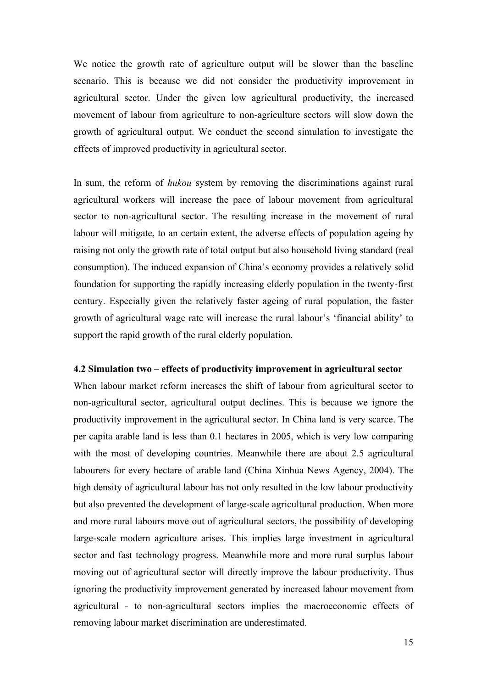We notice the growth rate of agriculture output will be slower than the baseline scenario. This is because we did not consider the productivity improvement in agricultural sector. Under the given low agricultural productivity, the increased movement of labour from agriculture to non-agriculture sectors will slow down the growth of agricultural output. We conduct the second simulation to investigate the effects of improved productivity in agricultural sector.

In sum, the reform of *hukou* system by removing the discriminations against rural agricultural workers will increase the pace of labour movement from agricultural sector to non-agricultural sector. The resulting increase in the movement of rural labour will mitigate, to an certain extent, the adverse effects of population ageing by raising not only the growth rate of total output but also household living standard (real consumption). The induced expansion of China's economy provides a relatively solid foundation for supporting the rapidly increasing elderly population in the twenty-first century. Especially given the relatively faster ageing of rural population, the faster growth of agricultural wage rate will increase the rural labour's 'financial ability' to support the rapid growth of the rural elderly population.

#### **4.2 Simulation two – effects of productivity improvement in agricultural sector**

When labour market reform increases the shift of labour from agricultural sector to non-agricultural sector, agricultural output declines. This is because we ignore the productivity improvement in the agricultural sector. In China land is very scarce. The per capita arable land is less than 0.1 hectares in 2005, which is very low comparing with the most of developing countries. Meanwhile there are about 2.5 agricultural labourers for every hectare of arable land (China Xinhua News Agency, 2004). The high density of agricultural labour has not only resulted in the low labour productivity but also prevented the development of large-scale agricultural production. When more and more rural labours move out of agricultural sectors, the possibility of developing large-scale modern agriculture arises. This implies large investment in agricultural sector and fast technology progress. Meanwhile more and more rural surplus labour moving out of agricultural sector will directly improve the labour productivity. Thus ignoring the productivity improvement generated by increased labour movement from agricultural - to non-agricultural sectors implies the macroeconomic effects of removing labour market discrimination are underestimated.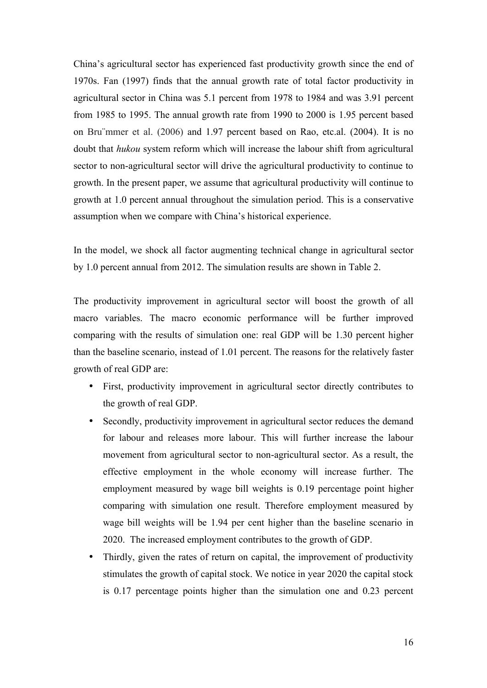China's agricultural sector has experienced fast productivity growth since the end of 1970s. Fan (1997) finds that the annual growth rate of total factor productivity in agricultural sector in China was 5.1 percent from 1978 to 1984 and was 3.91 percent from 1985 to 1995. The annual growth rate from 1990 to 2000 is 1.95 percent based on Bru¨mmer et al. (2006) and 1.97 percent based on Rao, etc.al. (2004). It is no doubt that *hukou* system reform which will increase the labour shift from agricultural sector to non-agricultural sector will drive the agricultural productivity to continue to growth. In the present paper, we assume that agricultural productivity will continue to growth at 1.0 percent annual throughout the simulation period. This is a conservative assumption when we compare with China's historical experience.

In the model, we shock all factor augmenting technical change in agricultural sector by 1.0 percent annual from 2012. The simulation results are shown in Table 2.

The productivity improvement in agricultural sector will boost the growth of all macro variables. The macro economic performance will be further improved comparing with the results of simulation one: real GDP will be 1.30 percent higher than the baseline scenario, instead of 1.01 percent. The reasons for the relatively faster growth of real GDP are:

- First, productivity improvement in agricultural sector directly contributes to the growth of real GDP.
- Secondly, productivity improvement in agricultural sector reduces the demand for labour and releases more labour. This will further increase the labour movement from agricultural sector to non-agricultural sector. As a result, the effective employment in the whole economy will increase further. The employment measured by wage bill weights is 0.19 percentage point higher comparing with simulation one result. Therefore employment measured by wage bill weights will be 1.94 per cent higher than the baseline scenario in 2020. The increased employment contributes to the growth of GDP.
- Thirdly, given the rates of return on capital, the improvement of productivity stimulates the growth of capital stock. We notice in year 2020 the capital stock is 0.17 percentage points higher than the simulation one and 0.23 percent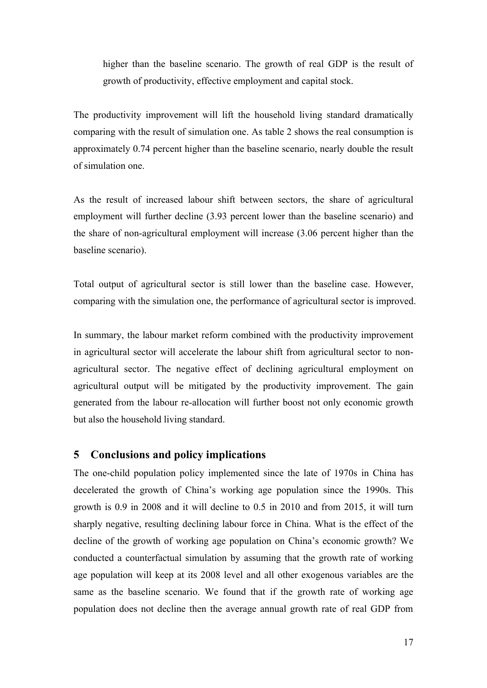higher than the baseline scenario. The growth of real GDP is the result of growth of productivity, effective employment and capital stock.

The productivity improvement will lift the household living standard dramatically comparing with the result of simulation one. As table 2 shows the real consumption is approximately 0.74 percent higher than the baseline scenario, nearly double the result of simulation one.

As the result of increased labour shift between sectors, the share of agricultural employment will further decline (3.93 percent lower than the baseline scenario) and the share of non-agricultural employment will increase (3.06 percent higher than the baseline scenario).

Total output of agricultural sector is still lower than the baseline case. However, comparing with the simulation one, the performance of agricultural sector is improved.

In summary, the labour market reform combined with the productivity improvement in agricultural sector will accelerate the labour shift from agricultural sector to nonagricultural sector. The negative effect of declining agricultural employment on agricultural output will be mitigated by the productivity improvement. The gain generated from the labour re-allocation will further boost not only economic growth but also the household living standard.

## **5 Conclusions and policy implications**

The one-child population policy implemented since the late of 1970s in China has decelerated the growth of China's working age population since the 1990s. This growth is 0.9 in 2008 and it will decline to 0.5 in 2010 and from 2015, it will turn sharply negative, resulting declining labour force in China. What is the effect of the decline of the growth of working age population on China's economic growth? We conducted a counterfactual simulation by assuming that the growth rate of working age population will keep at its 2008 level and all other exogenous variables are the same as the baseline scenario. We found that if the growth rate of working age population does not decline then the average annual growth rate of real GDP from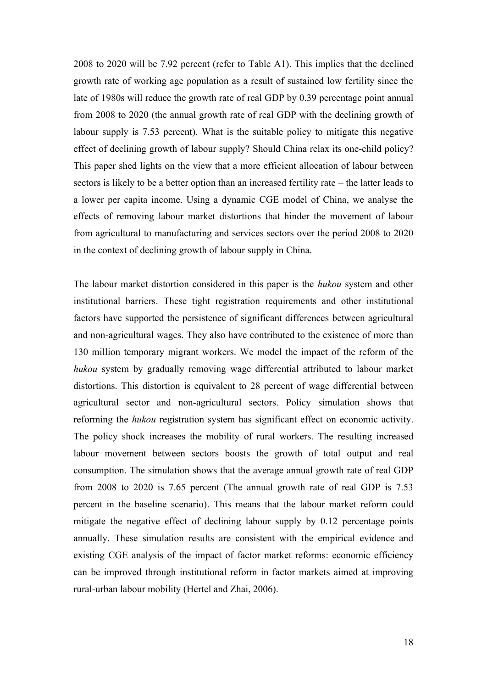2008 to 2020 will be 7.92 percent (refer to Table A1). This implies that the declined growth rate of working age population as a result of sustained low fertility since the late of 1980s will reduce the growth rate of real GDP by 0.39 percentage point annual from 2008 to 2020 (the annual growth rate of real GDP with the declining growth of labour supply is 7.53 percent). What is the suitable policy to mitigate this negative effect of declining growth of labour supply? Should China relax its one-child policy? This paper shed lights on the view that a more efficient allocation of labour between sectors is likely to be a better option than an increased fertility rate – the latter leads to a lower per capita income. Using a dynamic CGE model of China, we analyse the effects of removing labour market distortions that hinder the movement of labour from agricultural to manufacturing and services sectors over the period 2008 to 2020 in the context of declining growth of labour supply in China.

The labour market distortion considered in this paper is the *hukou* system and other institutional barriers. These tight registration requirements and other institutional factors have supported the persistence of significant differences between agricultural and non-agricultural wages. They also have contributed to the existence of more than 130 million temporary migrant workers. We model the impact of the reform of the *hukou* system by gradually removing wage differential attributed to labour market distortions. This distortion is equivalent to 28 percent of wage differential between agricultural sector and non-agricultural sectors. Policy simulation shows that reforming the *hukou* registration system has significant effect on economic activity. The policy shock increases the mobility of rural workers. The resulting increased labour movement between sectors boosts the growth of total output and real consumption. The simulation shows that the average annual growth rate of real GDP from 2008 to 2020 is 7.65 percent (The annual growth rate of real GDP is 7.53 percent in the baseline scenario). This means that the labour market reform could mitigate the negative effect of declining labour supply by 0.12 percentage points annually. These simulation results are consistent with the empirical evidence and existing CGE analysis of the impact of factor market reforms: economic efficiency can be improved through institutional reform in factor markets aimed at improving rural-urban labour mobility (Hertel and Zhai, 2006).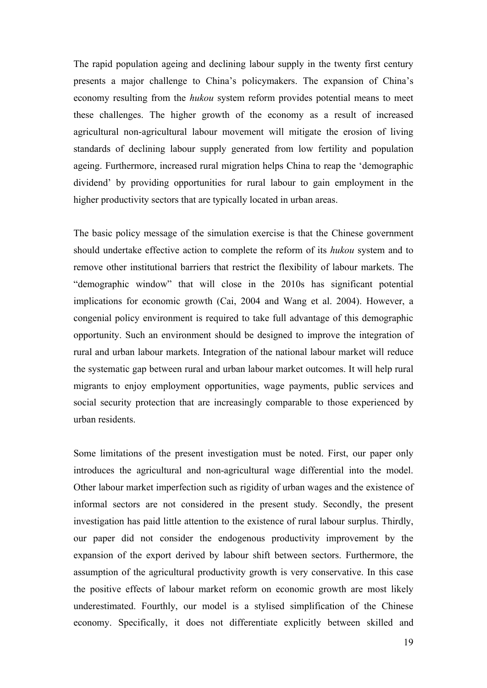The rapid population ageing and declining labour supply in the twenty first century presents a major challenge to China's policymakers. The expansion of China's economy resulting from the *hukou* system reform provides potential means to meet these challenges. The higher growth of the economy as a result of increased agricultural non-agricultural labour movement will mitigate the erosion of living standards of declining labour supply generated from low fertility and population ageing. Furthermore, increased rural migration helps China to reap the 'demographic dividend' by providing opportunities for rural labour to gain employment in the higher productivity sectors that are typically located in urban areas.

The basic policy message of the simulation exercise is that the Chinese government should undertake effective action to complete the reform of its *hukou* system and to remove other institutional barriers that restrict the flexibility of labour markets. The "demographic window" that will close in the 2010s has significant potential implications for economic growth (Cai, 2004 and Wang et al. 2004). However, a congenial policy environment is required to take full advantage of this demographic opportunity. Such an environment should be designed to improve the integration of rural and urban labour markets. Integration of the national labour market will reduce the systematic gap between rural and urban labour market outcomes. It will help rural migrants to enjoy employment opportunities, wage payments, public services and social security protection that are increasingly comparable to those experienced by urban residents.

Some limitations of the present investigation must be noted. First, our paper only introduces the agricultural and non-agricultural wage differential into the model. Other labour market imperfection such as rigidity of urban wages and the existence of informal sectors are not considered in the present study. Secondly, the present investigation has paid little attention to the existence of rural labour surplus. Thirdly, our paper did not consider the endogenous productivity improvement by the expansion of the export derived by labour shift between sectors. Furthermore, the assumption of the agricultural productivity growth is very conservative. In this case the positive effects of labour market reform on economic growth are most likely underestimated. Fourthly, our model is a stylised simplification of the Chinese economy. Specifically, it does not differentiate explicitly between skilled and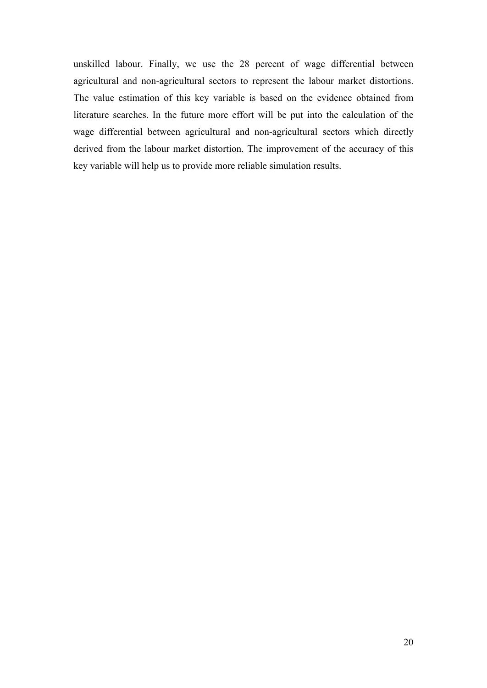unskilled labour. Finally, we use the 28 percent of wage differential between agricultural and non-agricultural sectors to represent the labour market distortions. The value estimation of this key variable is based on the evidence obtained from literature searches. In the future more effort will be put into the calculation of the wage differential between agricultural and non-agricultural sectors which directly derived from the labour market distortion. The improvement of the accuracy of this key variable will help us to provide more reliable simulation results.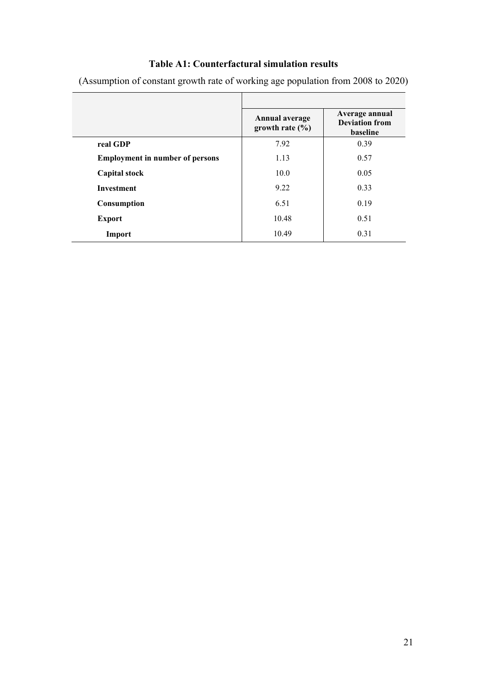## **Table A1: Counterfactural simulation results**

|                                        | <b>Annual average</b><br>growth rate $(\% )$ | Average annual<br><b>Deviation from</b><br>baseline |
|----------------------------------------|----------------------------------------------|-----------------------------------------------------|
| real GDP                               | 7.92                                         | 0.39                                                |
| <b>Employment in number of persons</b> | 1.13                                         | 0.57                                                |
| <b>Capital stock</b>                   | 10.0                                         | 0.05                                                |
| <b>Investment</b>                      | 9.22                                         | 0.33                                                |
| Consumption                            | 6.51                                         | 0.19                                                |
| <b>Export</b>                          | 10.48                                        | 0.51                                                |
| Import                                 | 10.49                                        | 0.31                                                |

(Assumption of constant growth rate of working age population from 2008 to 2020)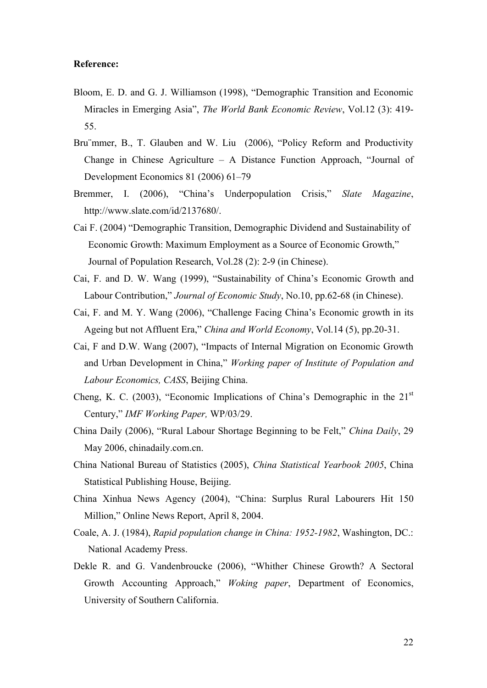#### **Reference:**

- Bloom, E. D. and G. J. Williamson (1998), "Demographic Transition and Economic Miracles in Emerging Asia", *The World Bank Economic Review*, Vol.12 (3): 419- 55.
- Bru mmer, B., T. Glauben and W. Liu (2006), "Policy Reform and Productivity Change in Chinese Agriculture – A Distance Function Approach, "Journal of Development Economics 81 (2006) 61–79
- Bremmer, I. (2006), "China's Underpopulation Crisis," *Slate Magazine*, http://www.slate.com/id/2137680/.
- Cai F. (2004) "Demographic Transition, Demographic Dividend and Sustainability of Economic Growth: Maximum Employment as a Source of Economic Growth," Journal of Population Research, Vol.28 (2): 2-9 (in Chinese).
- Cai, F. and D. W. Wang (1999), "Sustainability of China's Economic Growth and Labour Contribution," *Journal of Economic Study*, No.10, pp.62-68 (in Chinese).
- Cai, F. and M. Y. Wang (2006), "Challenge Facing China's Economic growth in its Ageing but not Affluent Era," *China and World Economy*, Vol.14 (5), pp.20-31.
- Cai, F and D.W. Wang (2007), "Impacts of Internal Migration on Economic Growth and Urban Development in China," *Working paper of Institute of Population and Labour Economics, CASS*, Beijing China.
- Cheng, K. C. (2003), "Economic Implications of China's Demographic in the  $21<sup>st</sup>$ Century," *IMF Working Paper,* WP/03/29.
- China Daily (2006), "Rural Labour Shortage Beginning to be Felt," *China Daily*, 29 May 2006, chinadaily.com.cn.
- China National Bureau of Statistics (2005), *China Statistical Yearbook 2005*, China Statistical Publishing House, Beijing.
- China Xinhua News Agency (2004), "China: Surplus Rural Labourers Hit 150 Million," Online News Report, April 8, 2004.
- Coale, A. J. (1984), *Rapid population change in China: 1952-1982*, Washington, DC.: National Academy Press.
- Dekle R. and G. Vandenbroucke (2006), "Whither Chinese Growth? A Sectoral Growth Accounting Approach," *Woking paper*, Department of Economics, University of Southern California.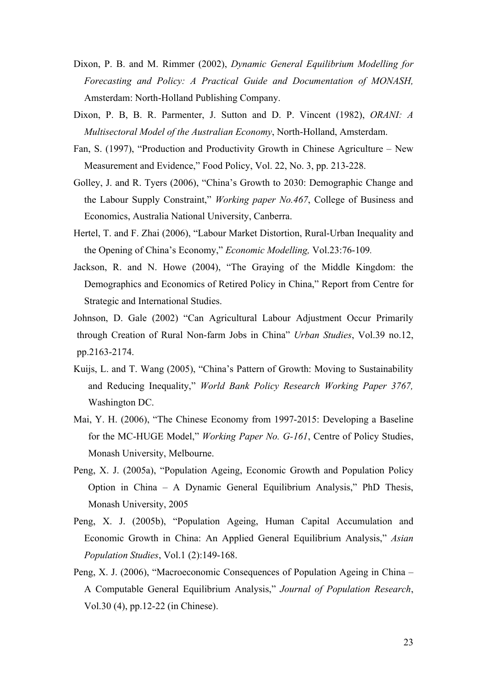- Dixon, P. B. and M. Rimmer (2002), *Dynamic General Equilibrium Modelling for Forecasting and Policy: A Practical Guide and Documentation of MONASH,* Amsterdam: North-Holland Publishing Company.
- Dixon, P. B, B. R. Parmenter, J. Sutton and D. P. Vincent (1982), *ORANI: A Multisectoral Model of the Australian Economy*, North-Holland, Amsterdam.
- Fan, S. (1997), "Production and Productivity Growth in Chinese Agriculture New Measurement and Evidence," Food Policy, Vol. 22, No. 3, pp. 213-228.
- Golley, J. and R. Tyers (2006), "China's Growth to 2030: Demographic Change and the Labour Supply Constraint," *Working paper No.467*, College of Business and Economics, Australia National University, Canberra.
- Hertel, T. and F. Zhai (2006), "Labour Market Distortion, Rural-Urban Inequality and the Opening of China's Economy," *Economic Modelling,* Vol.23:76-109*.*
- Jackson, R. and N. Howe (2004), "The Graying of the Middle Kingdom: the Demographics and Economics of Retired Policy in China," Report from Centre for Strategic and International Studies.
- Johnson, D. Gale (2002) "Can Agricultural Labour Adjustment Occur Primarily through Creation of Rural Non-farm Jobs in China" *Urban Studies*, Vol.39 no.12, pp.2163-2174.
- Kuijs, L. and T. Wang (2005), "China's Pattern of Growth: Moving to Sustainability and Reducing Inequality," *World Bank Policy Research Working Paper 3767,*  Washington DC.
- Mai, Y. H. (2006), "The Chinese Economy from 1997-2015: Developing a Baseline for the MC-HUGE Model," *Working Paper No. G-161*, Centre of Policy Studies, Monash University, Melbourne.
- Peng, X. J. (2005a), "Population Ageing, Economic Growth and Population Policy Option in China – A Dynamic General Equilibrium Analysis," PhD Thesis, Monash University, 2005
- Peng, X. J. (2005b), "Population Ageing, Human Capital Accumulation and Economic Growth in China: An Applied General Equilibrium Analysis," *Asian Population Studies*, Vol.1 (2):149-168.
- Peng, X. J. (2006), "Macroeconomic Consequences of Population Ageing in China A Computable General Equilibrium Analysis," *Journal of Population Research*, Vol.30 (4), pp.12-22 (in Chinese).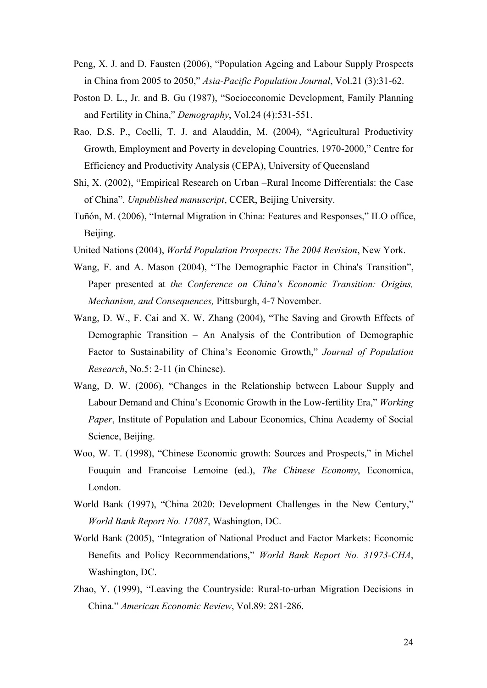- Peng, X. J. and D. Fausten (2006), "Population Ageing and Labour Supply Prospects in China from 2005 to 2050," *Asia-Pacific Population Journal*, Vol.21 (3):31-62.
- Poston D. L., Jr. and B. Gu (1987), "Socioeconomic Development, Family Planning and Fertility in China," *Demography*, Vol.24 (4):531-551.
- Rao, D.S. P., Coelli, T. J. and Alauddin, M. (2004), "Agricultural Productivity Growth, Employment and Poverty in developing Countries, 1970-2000," Centre for Efficiency and Productivity Analysis (CEPA), University of Queensland
- Shi, X. (2002), "Empirical Research on Urban –Rural Income Differentials: the Case of China". *Unpublished manuscript*, CCER, Beijing University.
- Tuñón, M. (2006), "Internal Migration in China: Features and Responses," ILO office, Beijing.
- United Nations (2004), *World Population Prospects: The 2004 Revision*, New York.
- Wang, F. and A. Mason (2004), "The Demographic Factor in China's Transition", Paper presented at *the Conference on China's Economic Transition: Origins, Mechanism, and Consequences,* Pittsburgh, 4-7 November.
- Wang, D. W., F. Cai and X. W. Zhang (2004), "The Saving and Growth Effects of Demographic Transition – An Analysis of the Contribution of Demographic Factor to Sustainability of China's Economic Growth," *Journal of Population Research*, No.5: 2-11 (in Chinese).
- Wang, D. W. (2006), "Changes in the Relationship between Labour Supply and Labour Demand and China's Economic Growth in the Low-fertility Era," *Working Paper*, Institute of Population and Labour Economics, China Academy of Social Science, Beijing.
- Woo, W. T. (1998), "Chinese Economic growth: Sources and Prospects," in Michel Fouquin and Francoise Lemoine (ed.), *The Chinese Economy*, Economica, London.
- World Bank (1997), "China 2020: Development Challenges in the New Century," *World Bank Report No. 17087*, Washington, DC.
- World Bank (2005), "Integration of National Product and Factor Markets: Economic Benefits and Policy Recommendations," *World Bank Report No. 31973-CHA*, Washington, DC.
- Zhao, Y. (1999), "Leaving the Countryside: Rural-to-urban Migration Decisions in China." *American Economic Review*, Vol.89: 281-286.